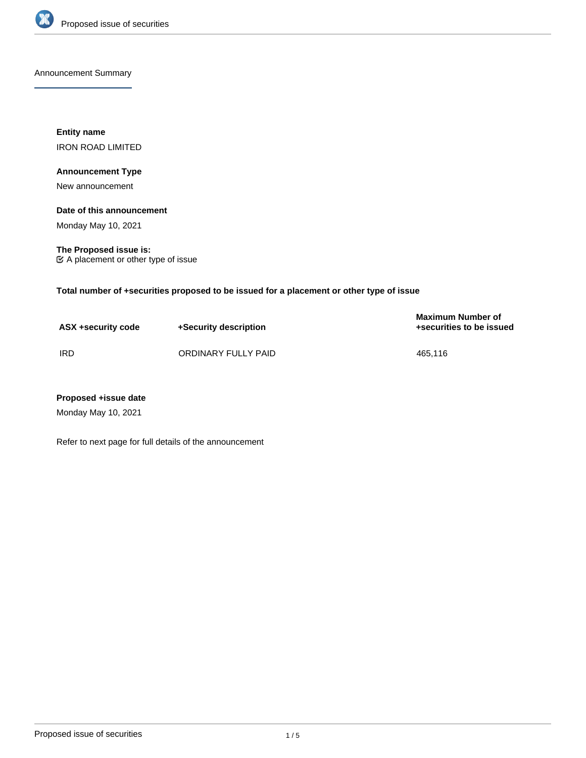

Announcement Summary

**Entity name** IRON ROAD LIMITED

## **Announcement Type**

New announcement

## **Date of this announcement**

Monday May 10, 2021

**The Proposed issue is:** A placement or other type of issue

**Total number of +securities proposed to be issued for a placement or other type of issue**

| ASX +security code | +Security description | <b>Maximum Number of</b><br>+securities to be issued |
|--------------------|-----------------------|------------------------------------------------------|
| IRD                | ORDINARY FULLY PAID   | 465.116                                              |

## **Proposed +issue date**

Monday May 10, 2021

Refer to next page for full details of the announcement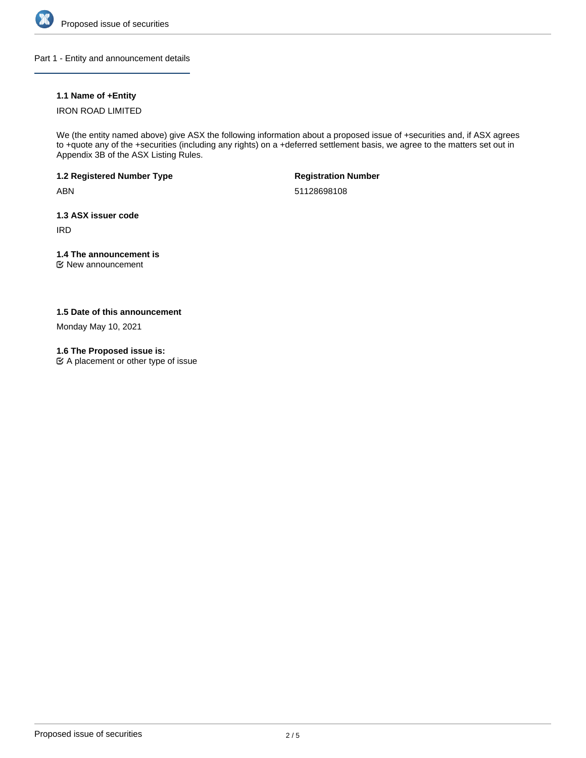

Part 1 - Entity and announcement details

## **1.1 Name of +Entity**

## IRON ROAD LIMITED

We (the entity named above) give ASX the following information about a proposed issue of +securities and, if ASX agrees to +quote any of the +securities (including any rights) on a +deferred settlement basis, we agree to the matters set out in Appendix 3B of the ASX Listing Rules.

**1.2 Registered Number Type**

ABN

**Registration Number**

51128698108

**1.3 ASX issuer code**

IRD

## **1.4 The announcement is**

New announcement

**1.5 Date of this announcement**

Monday May 10, 2021

**1.6 The Proposed issue is:**

A placement or other type of issue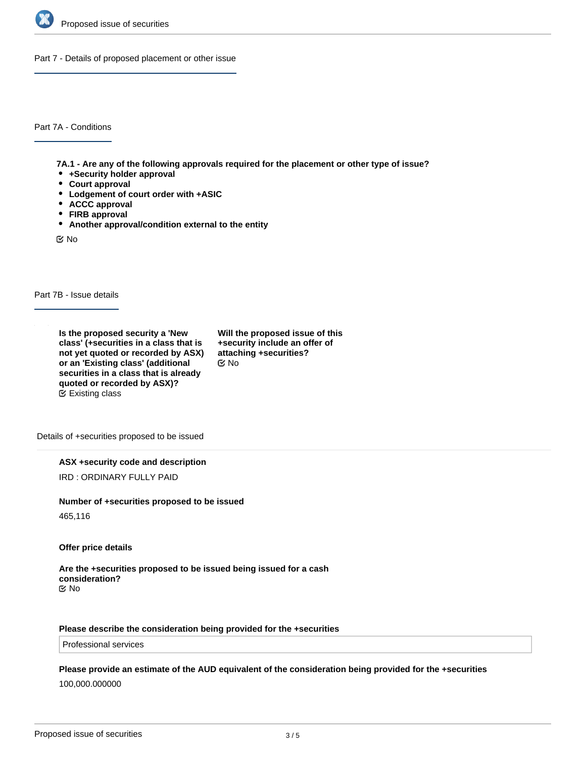

Part 7 - Details of proposed placement or other issue

Part 7A - Conditions

**7A.1 - Are any of the following approvals required for the placement or other type of issue?**

- **+Security holder approval**
- **Court approval**
- **Lodgement of court order with +ASIC**
- **ACCC approval**
- **FIRB approval**
- **Another approval/condition external to the entity**

No

Part 7B - Issue details

**Is the proposed security a 'New class' (+securities in a class that is not yet quoted or recorded by ASX) or an 'Existing class' (additional securities in a class that is already quoted or recorded by ASX)?** Existing class

**Will the proposed issue of this +security include an offer of attaching +securities?** No

Details of +securities proposed to be issued

**ASX +security code and description**

IRD : ORDINARY FULLY PAID

#### **Number of +securities proposed to be issued**

465,116

**Offer price details**

#### **Are the +securities proposed to be issued being issued for a cash consideration?** No

### **Please describe the consideration being provided for the +securities**

Professional services

### **Please provide an estimate of the AUD equivalent of the consideration being provided for the +securities**

100,000.000000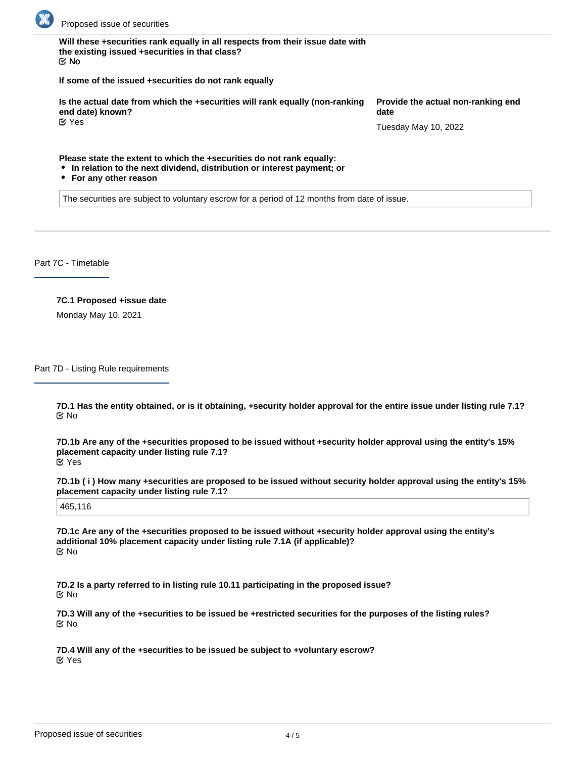

**Will these +securities rank equally in all respects from their issue date with the existing issued +securities in that class?** No

**If some of the issued +securities do not rank equally**

**Is the actual date from which the +securities will rank equally (non-ranking end date) known?** Yes

**Provide the actual non-ranking end date**

Tuesday May 10, 2022

**Please state the extent to which the +securities do not rank equally:**

- **In relation to the next dividend, distribution or interest payment; or**
- **For any other reason**

The securities are subject to voluntary escrow for a period of 12 months from date of issue.

Part 7C - Timetable

# **7C.1 Proposed +issue date**

Monday May 10, 2021

Part 7D - Listing Rule requirements

**7D.1 Has the entity obtained, or is it obtaining, +security holder approval for the entire issue under listing rule 7.1?** No

**7D.1b Are any of the +securities proposed to be issued without +security holder approval using the entity's 15% placement capacity under listing rule 7.1?** Yes

**7D.1b ( i ) How many +securities are proposed to be issued without security holder approval using the entity's 15% placement capacity under listing rule 7.1?**

465,116

**7D.1c Are any of the +securities proposed to be issued without +security holder approval using the entity's additional 10% placement capacity under listing rule 7.1A (if applicable)?** No

**7D.2 Is a party referred to in listing rule 10.11 participating in the proposed issue?** No

**7D.3 Will any of the +securities to be issued be +restricted securities for the purposes of the listing rules?** No

**7D.4 Will any of the +securities to be issued be subject to +voluntary escrow?** Yes